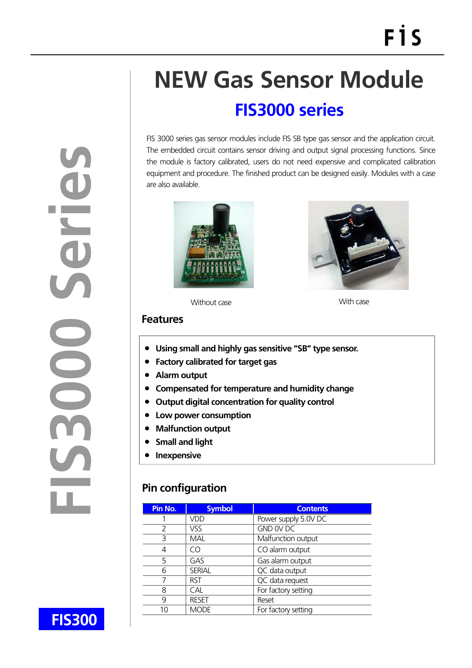# **NEW Gas Sensor Module**

# **FIS3000 series**

FIS 3000 series gas sensor modules include FIS SB type gas sensor and the application circuit. The embedded circuit contains sensor driving and output signal processing functions. Since the module is factory calibrated, users do not need expensive and complicated calibration equipment and procedure. The finished product can be designed easily. Modules with a case are also available.





Without case With case

#### **Features**

- **Using small and highly gas sensitive "SB" type sensor.**
- **Factory calibrated for target gas**
- **Alarm output**
- **Compensated for temperature and humidity change**
- **Output digital concentration for quality control**
- **Low power consumption**
- **Malfunction output**
- **Small and light**
- **•** Inexpensive

## **Pin configuration**

| Pin No. | <b>Symbol</b> | <b>Contents</b>      |
|---------|---------------|----------------------|
|         | VDD           | Power supply 5.0V DC |
|         | VSS           | GND OV DC            |
| 3       | MAL           | Malfunction output   |
| 4       | CΟ            | CO alarm output      |
| 5       | GAS           | Gas alarm output     |
| 6       | <b>SERIAL</b> | QC data output       |
|         | <b>RST</b>    | QC data request      |
| 8       | CAL           | For factory setting  |
| 9       | <b>RESET</b>  | Reset                |
|         | <b>MODE</b>   | For factory setting  |